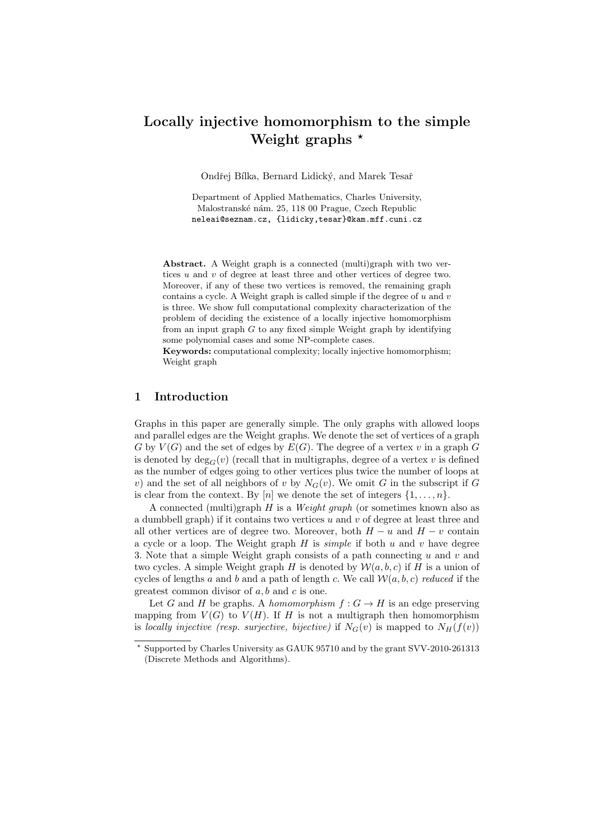# Locally injective homomorphism to the simple Weight graphs  $*$

Ondřej Bílka, Bernard Lidický, and Marek Tesař

Department of Applied Mathematics, Charles University, Malostranské nám. 25, 118 00 Prague, Czech Republic neleai@seznam.cz, {lidicky,tesar}@kam.mff.cuni.cz

Abstract. A Weight graph is a connected (multi)graph with two vertices u and v of degree at least three and other vertices of degree two. Moreover, if any of these two vertices is removed, the remaining graph contains a cycle. A Weight graph is called simple if the degree of  $u$  and  $v$ is three. We show full computational complexity characterization of the problem of deciding the existence of a locally injective homomorphism from an input graph  $G$  to any fixed simple Weight graph by identifying some polynomial cases and some NP-complete cases.

Keywords: computational complexity; locally injective homomorphism; Weight graph

## 1 Introduction

Graphs in this paper are generally simple. The only graphs with allowed loops and parallel edges are the Weight graphs. We denote the set of vertices of a graph G by  $V(G)$  and the set of edges by  $E(G)$ . The degree of a vertex v in a graph G is denoted by  $\deg_G(v)$  (recall that in multigraphs, degree of a vertex v is defined as the number of edges going to other vertices plus twice the number of loops at v) and the set of all neighbors of v by  $N_G(v)$ . We omit G in the subscript if G is clear from the context. By  $[n]$  we denote the set of integers  $\{1, \ldots, n\}$ .

A connected (multi)graph  $H$  is a *Weight graph* (or sometimes known also as a dumbbell graph) if it contains two vertices u and v of degree at least three and all other vertices are of degree two. Moreover, both  $H - u$  and  $H - v$  contain a cycle or a loop. The Weight graph  $H$  is *simple* if both  $u$  and  $v$  have degree 3. Note that a simple Weight graph consists of a path connecting  $u$  and  $v$  and two cycles. A simple Weight graph H is denoted by  $\mathcal{W}(a, b, c)$  if H is a union of cycles of lengths a and b and a path of length c. We call  $W(a, b, c)$  reduced if the greatest common divisor of  $a, b$  and  $c$  is one.

Let G and H be graphs. A homomorphism  $f: G \to H$  is an edge preserving mapping from  $V(G)$  to  $V(H)$ . If H is not a multigraph then homomorphism is locally injective (resp. surjective, bijective) if  $N_G(v)$  is mapped to  $N_H(f(v))$ 

<sup>?</sup> Supported by Charles University as GAUK 95710 and by the grant SVV-2010-261313 (Discrete Methods and Algorithms).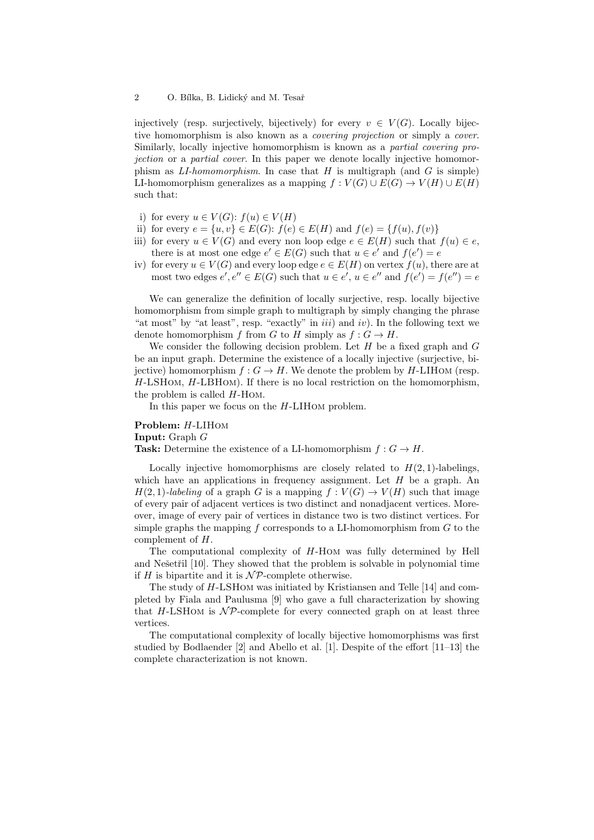injectively (resp. surjectively, bijectively) for every  $v \in V(G)$ . Locally bijective homomorphism is also known as a covering projection or simply a cover. Similarly, locally injective homomorphism is known as a partial covering projection or a partial cover. In this paper we denote locally injective homomorphism as  $LI-homomorphism$ . In case that H is multigraph (and G is simple) LI-homomorphism generalizes as a mapping  $f : V(G) \cup E(G) \rightarrow V(H) \cup E(H)$ such that:

- i) for every  $u \in V(G)$ :  $f(u) \in V(H)$
- ii) for every  $e = \{u, v\} \in E(G)$ :  $f(e) \in E(H)$  and  $f(e) = \{f(u), f(v)\}$
- iii) for every  $u \in V(G)$  and every non loop edge  $e \in E(H)$  such that  $f(u) \in e$ , there is at most one edge  $e' \in E(G)$  such that  $u \in e'$  and  $f(e') = e$
- iv) for every  $u \in V(G)$  and every loop edge  $e \in E(H)$  on vertex  $f(u)$ , there are at most two edges  $e', e'' \in E(G)$  such that  $u \in e'$ ,  $u \in e''$  and  $f(e') = f(e'') = e$

We can generalize the definition of locally surjective, resp. locally bijective homomorphism from simple graph to multigraph by simply changing the phrase "at most" by "at least", resp. "exactly" in  $iii$ ) and  $iv$ ). In the following text we denote homomorphism f from G to H simply as  $f: G \to H$ .

We consider the following decision problem. Let  $H$  be a fixed graph and  $G$ be an input graph. Determine the existence of a locally injective (surjective, bijective) homomorphism  $f : G \to H$ . We denote the problem by H-LIHOM (resp. H-LSHom, H-LBHom). If there is no local restriction on the homomorphism, the problem is called H-Hom.

In this paper we focus on the H-LIHom problem.

### Problem: H-LIHom

Input: Graph G

**Task:** Determine the existence of a LI-homomorphism  $f: G \to H$ .

Locally injective homomorphisms are closely related to  $H(2, 1)$ -labelings, which have an applications in frequency assignment. Let  $H$  be a graph. An  $H(2, 1)$ -labeling of a graph G is a mapping  $f: V(G) \to V(H)$  such that image of every pair of adjacent vertices is two distinct and nonadjacent vertices. Moreover, image of every pair of vertices in distance two is two distinct vertices. For simple graphs the mapping f corresponds to a LI-homomorphism from  $G$  to the complement of H.

The computational complexity of H-Hom was fully determined by Hell and Nešetřil [10]. They showed that the problem is solvable in polynomial time if H is bipartite and it is  $\mathcal{NP}$ -complete otherwise.

The study of H-LSHom was initiated by Kristiansen and Telle [14] and completed by Fiala and Paulusma [9] who gave a full characterization by showing that  $H$ -LSHOM is  $N\mathcal{P}$ -complete for every connected graph on at least three vertices.

The computational complexity of locally bijective homomorphisms was first studied by Bodlaender [2] and Abello et al. [1]. Despite of the effort [11–13] the complete characterization is not known.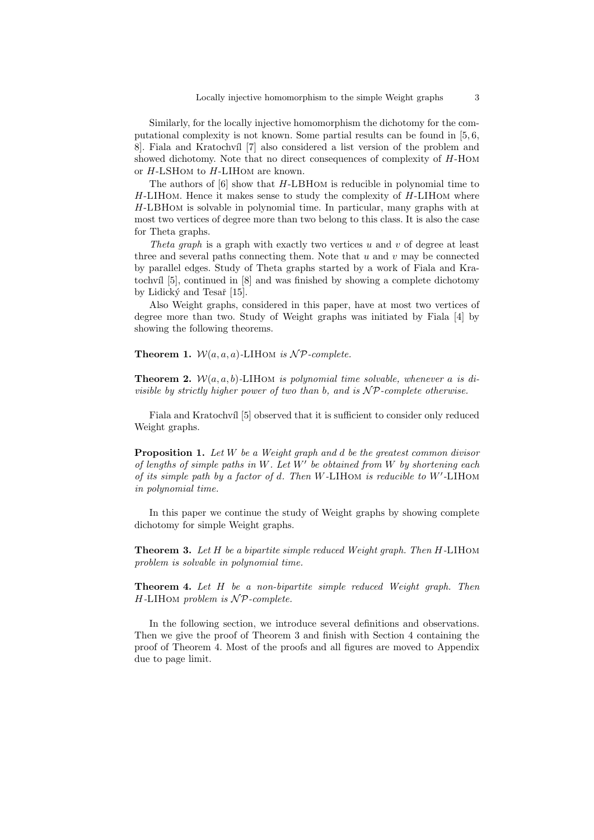Similarly, for the locally injective homomorphism the dichotomy for the computational complexity is not known. Some partial results can be found in [5, 6, 8. Fiala and Kratochvíl [7] also considered a list version of the problem and showed dichotomy. Note that no direct consequences of complexity of H-Hom or H-LSHom to H-LIHom are known.

The authors of  $[6]$  show that  $H$ -LBHOM is reducible in polynomial time to  $H$ -LIHOM. Hence it makes sense to study the complexity of  $H$ -LIHOM where H-LBHom is solvable in polynomial time. In particular, many graphs with at most two vertices of degree more than two belong to this class. It is also the case for Theta graphs.

Theta graph is a graph with exactly two vertices u and v of degree at least three and several paths connecting them. Note that  $u$  and  $v$  may be connected by parallel edges. Study of Theta graphs started by a work of Fiala and Kratochvíl [5], continued in [8] and was finished by showing a complete dichotomy by Lidický and Tesař  $[15]$ .

Also Weight graphs, considered in this paper, have at most two vertices of degree more than two. Study of Weight graphs was initiated by Fiala [4] by showing the following theorems.

**Theorem 1.**  $W(a, a, a)$ -LIHOM is  $\mathcal{NP}$ -complete.

**Theorem 2.**  $W(a, a, b)$ -LIHOM is polynomial time solvable, whenever a is divisible by strictly higher power of two than b, and is  $\mathcal{NP}$ -complete otherwise.

Fiala and Kratochvíl [5] observed that it is sufficient to consider only reduced Weight graphs.

**Proposition 1.** Let  $W$  be a Weight graph and  $d$  be the greatest common divisor of lengths of simple paths in  $W$ . Let  $W'$  be obtained from  $W$  by shortening each of its simple path by a factor of  $d$ . Then W-LIHOM is reducible to W'-LIHOM in polynomial time.

In this paper we continue the study of Weight graphs by showing complete dichotomy for simple Weight graphs.

Theorem 3. Let H be a bipartite simple reduced Weight graph. Then H-LIHOM problem is solvable in polynomial time.

Theorem 4. Let H be a non-bipartite simple reduced Weight graph. Then  $H$ -LIHOM problem is  $\mathcal{NP}$ -complete.

In the following section, we introduce several definitions and observations. Then we give the proof of Theorem 3 and finish with Section 4 containing the proof of Theorem 4. Most of the proofs and all figures are moved to Appendix due to page limit.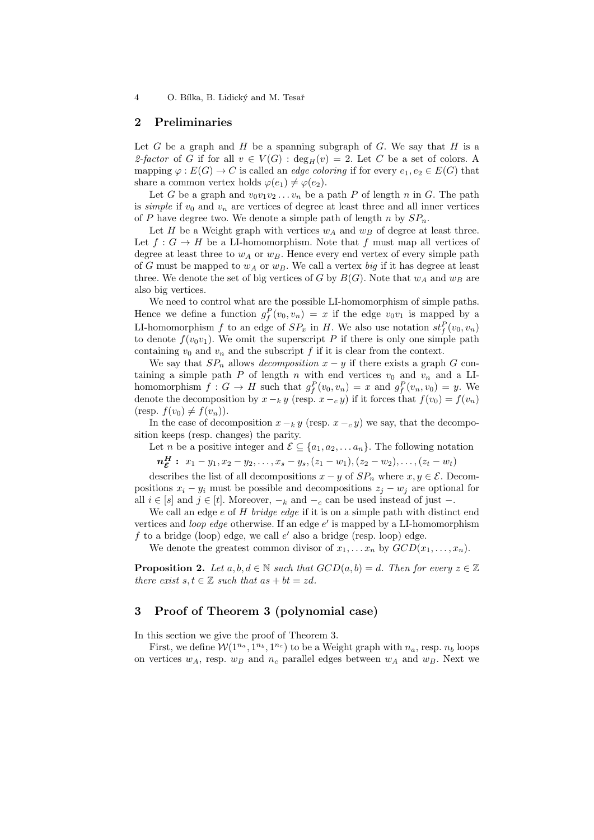4 O. Bílka, B. Lidický and M. Tesař

### 2 Preliminaries

Let  $G$  be a graph and  $H$  be a spanning subgraph of  $G$ . We say that  $H$  is a 2-factor of G if for all  $v \in V(G)$ :  $\deg_H(v) = 2$ . Let C be a set of colors. A mapping  $\varphi : E(G) \to C$  is called an *edge coloring* if for every  $e_1, e_2 \in E(G)$  that share a common vertex holds  $\varphi(e_1) \neq \varphi(e_2)$ .

Let G be a graph and  $v_0v_1v_2 \ldots v_n$  be a path P of length n in G. The path is *simple* if  $v_0$  and  $v_n$  are vertices of degree at least three and all inner vertices of P have degree two. We denote a simple path of length n by  $SP_n$ .

Let H be a Weight graph with vertices  $w_A$  and  $w_B$  of degree at least three. Let  $f: G \to H$  be a LI-homomorphism. Note that f must map all vertices of degree at least three to  $w_A$  or  $w_B$ . Hence every end vertex of every simple path of G must be mapped to  $w_A$  or  $w_B$ . We call a vertex big if it has degree at least three. We denote the set of big vertices of G by  $B(G)$ . Note that  $w_A$  and  $w_B$  are also big vertices.

We need to control what are the possible LI-homomorphism of simple paths. Hence we define a function  $g_f^P(v_0, v_n) = x$  if the edge  $v_0v_1$  is mapped by a LI-homomorphism f to an edge of  $SP_x$  in H. We also use notation  $st_f^P(v_0, v_n)$ to denote  $f(v_0v_1)$ . We omit the superscript P if there is only one simple path containing  $v_0$  and  $v_n$  and the subscript f if it is clear from the context.

We say that  $SP_n$  allows *decomposition*  $x - y$  if there exists a graph G containing a simple path  $P$  of length  $n$  with end vertices  $v_0$  and  $v_n$  and a LIhomomorphism  $f: G \to H$  such that  $g_f^P(v_0, v_n) = x$  and  $g_f^P(v_n, v_0) = y$ . We denote the decomposition by  $x -_k y$  (resp.  $x -_c y$ ) if it forces that  $f(v_0) = f(v_n)$ (resp.  $f(v_0) \neq f(v_n)$ ).

In the case of decomposition  $x - k y$  (resp.  $x - c y$ ) we say, that the decomposition keeps (resp. changes) the parity.

Let n be a positive integer and  $\mathcal{E} \subseteq \{a_1, a_2, \ldots a_n\}$ . The following notation

 $n_{\mathcal{E}}^H: x_1-y_1, x_2-y_2, \ldots, x_s-y_s, (z_1-w_1), (z_2-w_2), \ldots, (z_t-w_t)$ 

describes the list of all decompositions  $x - y$  of  $SP_n$  where  $x, y \in \mathcal{E}$ . Decompositions  $x_i - y_i$  must be possible and decompositions  $z_i - w_i$  are optional for all  $i \in [s]$  and  $j \in [t]$ . Moreover,  $-k$  and  $-c$  can be used instead of just  $-$ .

We call an edge  $e$  of  $H$  bridge edge if it is on a simple path with distinct end vertices and *loop edge* otherwise. If an edge  $e'$  is mapped by a LI-homomorphism f to a bridge (loop) edge, we call  $e'$  also a bridge (resp. loop) edge.

We denote the greatest common divisor of  $x_1, \ldots, x_n$  by  $GCD(x_1, \ldots, x_n)$ .

**Proposition 2.** Let  $a, b, d \in \mathbb{N}$  such that  $GCD(a, b) = d$ . Then for every  $z \in \mathbb{Z}$ there exist  $s, t \in \mathbb{Z}$  such that  $as + bt = zd$ .

# 3 Proof of Theorem 3 (polynomial case)

In this section we give the proof of Theorem 3.

First, we define  $W(1^{n_a}, 1^{n_b}, 1^{n_c})$  to be a Weight graph with  $n_a$ , resp.  $n_b$  loops on vertices  $w_A$ , resp.  $w_B$  and  $n_c$  parallel edges between  $w_A$  and  $w_B$ . Next we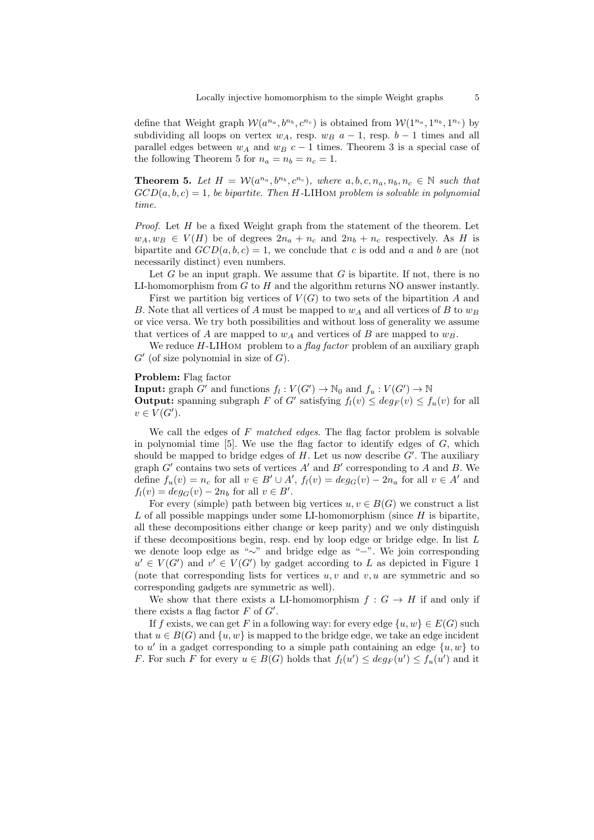define that Weight graph  $W(a^{n_a}, b^{n_b}, c^{n_c})$  is obtained from  $W(1^{n_a}, 1^{n_b}, 1^{n_c})$  by subdividing all loops on vertex  $w_A$ , resp.  $w_B$  a − 1, resp. b − 1 times and all parallel edges between  $w_A$  and  $w_B$  c − 1 times. Theorem 3 is a special case of the following Theorem 5 for  $n_a = n_b = n_c = 1$ .

**Theorem 5.** Let  $H = \mathcal{W}(a^{n_a}, b^{n_b}, c^{n_c})$ , where  $a, b, c, n_a, n_b, n_c \in \mathbb{N}$  such that  $GCD(a, b, c) = 1$ , be bipartite. Then H-LIHOM problem is solvable in polynomial time.

*Proof.* Let  $H$  be a fixed Weight graph from the statement of the theorem. Let  $w_A, w_B \in V(H)$  be of degrees  $2n_a + n_c$  and  $2n_b + n_c$  respectively. As H is bipartite and  $GCD(a, b, c) = 1$ , we conclude that c is odd and a and b are (not necessarily distinct) even numbers.

Let G be an input graph. We assume that  $G$  is bipartite. If not, there is no LI-homomorphism from  $G$  to  $H$  and the algorithm returns NO answer instantly.

First we partition big vertices of  $V(G)$  to two sets of the bipartition A and B. Note that all vertices of A must be mapped to  $w_A$  and all vertices of B to  $w_B$ or vice versa. We try both possibilities and without loss of generality we assume that vertices of A are mapped to  $w_A$  and vertices of B are mapped to  $w_B$ .

We reduce  $H$ -LIHOM problem to a *flag factor* problem of an auxiliary graph  $G'$  (of size polynomial in size of  $G$ ).

#### Problem: Flag factor

**Input:** graph  $G'$  and functions  $f_l: V(G') \to \mathbb{N}_0$  and  $f_u: V(G') \to \mathbb{N}$ **Output:** spanning subgraph F of G' satisfying  $f_l(v) \leq deg_F(v) \leq f_u(v)$  for all  $v \in V(G').$ 

We call the edges of  $F$  matched edges. The flag factor problem is solvable in polynomial time  $[5]$ . We use the flag factor to identify edges of  $G$ , which should be mapped to bridge edges of  $H$ . Let us now describe  $G'$ . The auxiliary graph  $G'$  contains two sets of vertices  $A'$  and  $B'$  corresponding to  $A$  and  $B$ . We define  $f_u(v) = n_c$  for all  $v \in B' \cup A'$ ,  $f_l(v) = deg_G(v) - 2n_a$  for all  $v \in A'$  and  $f_l(v) = deg_G(v) - 2n_b$  for all  $v \in B'$ .

For every (simple) path between big vertices  $u, v \in B(G)$  we construct a list  $L$  of all possible mappings under some LI-homomorphism (since  $H$  is bipartite, all these decompositions either change or keep parity) and we only distinguish if these decompositions begin, resp. end by loop edge or bridge edge. In list  $L$ we denote loop edge as "∼" and bridge edge as "−". We join corresponding  $u' \in V(G')$  and  $v' \in V(G')$  by gadget according to L as depicted in Figure 1 (note that corresponding lists for vertices  $u, v$  and  $v, u$  are symmetric and so corresponding gadgets are symmetric as well).

We show that there exists a LI-homomorphism  $f: G \to H$  if and only if there exists a flag factor  $F$  of  $G'$ .

If f exists, we can get F in a following way: for every edge  $\{u, w\} \in E(G)$  such that  $u \in B(G)$  and  $\{u, w\}$  is mapped to the bridge edge, we take an edge incident to u' in a gadget corresponding to a simple path containing an edge  $\{u, w\}$  to F. For such F for every  $u \in B(G)$  holds that  $f_l(u') \leq deg_F(u') \leq f_u(u')$  and it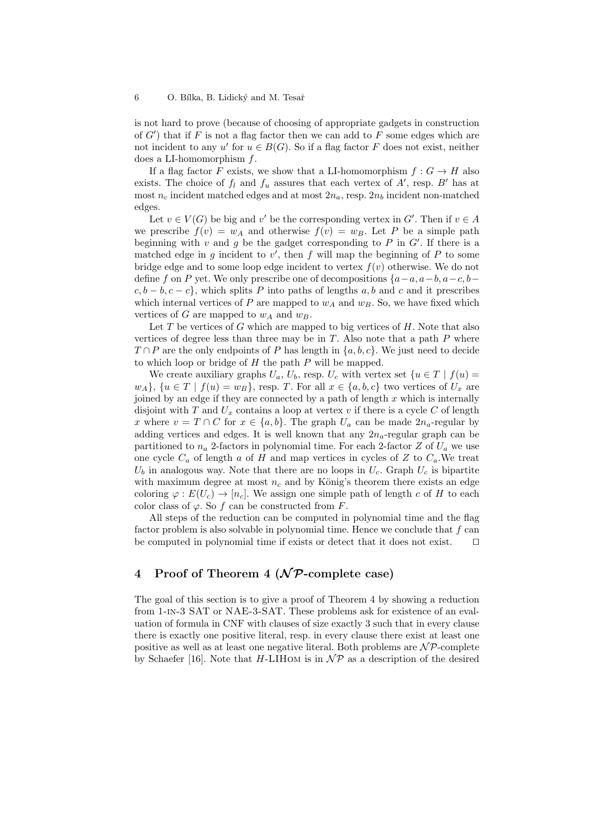is not hard to prove (because of choosing of appropriate gadgets in construction of  $G'$ ) that if F is not a flag factor then we can add to F some edges which are not incident to any  $u'$  for  $u \in B(G)$ . So if a flag factor F does not exist, neither does a LI-homomorphism f.

If a flag factor F exists, we show that a LI-homomorphism  $f: G \to H$  also exists. The choice of  $f_l$  and  $f_u$  assures that each vertex of  $A'$ , resp.  $B'$  has at most  $n_c$  incident matched edges and at most  $2n_a$ , resp.  $2n_b$  incident non-matched edges.

Let  $v \in V(G)$  be big and v' be the corresponding vertex in G'. Then if  $v \in A$ we prescribe  $f(v) = w_A$  and otherwise  $f(v) = w_B$ . Let P be a simple path beginning with  $v$  and  $g$  be the gadget corresponding to  $P$  in  $G'$ . If there is a matched edge in  $g$  incident to  $v'$ , then  $f$  will map the beginning of  $P$  to some bridge edge and to some loop edge incident to vertex  $f(v)$  otherwise. We do not define f on P yet. We only prescribe one of decompositions  $\{a-a, a-b, a-c, b-\}$  $c, b - b, c - c$ , which splits P into paths of lengths a, b and c and it prescribes which internal vertices of P are mapped to  $w_A$  and  $w_B$ . So, we have fixed which vertices of G are mapped to  $w_A$  and  $w_B$ .

Let  $T$  be vertices of  $G$  which are mapped to big vertices of  $H$ . Note that also vertices of degree less than three may be in  $T$ . Also note that a path  $P$  where  $T \cap P$  are the only endpoints of P has length in  $\{a, b, c\}$ . We just need to decide to which loop or bridge of  $H$  the path  $P$  will be mapped.

We create auxiliary graphs  $U_a$ ,  $U_b$ , resp.  $U_c$  with vertex set  $\{u \in T \mid f(u) =$  $w_A$ ,  $\{u \in T \mid f(u) = w_B\}$ , resp. T. For all  $x \in \{a, b, c\}$  two vertices of  $U_x$  are joined by an edge if they are connected by a path of length  $x$  which is internally disjoint with  $T$  and  $U_x$  contains a loop at vertex  $v$  if there is a cycle  $C$  of length x where  $v = T \cap C$  for  $x \in \{a, b\}$ . The graph  $U_a$  can be made  $2n_a$ -regular by adding vertices and edges. It is well known that any  $2n_a$ -regular graph can be partitioned to  $n_a$  2-factors in polynomial time. For each 2-factor Z of  $U_a$  we use one cycle  $C_a$  of length a of H and map vertices in cycles of Z to  $C_a$ . We treat  $U_b$  in analogous way. Note that there are no loops in  $U_c$ . Graph  $U_c$  is bipartite with maximum degree at most  $n_c$  and by König's theorem there exists an edge coloring  $\varphi : E(U_c) \to [n_c]$ . We assign one simple path of length c of H to each color class of  $\varphi$ . So f can be constructed from F.

All steps of the reduction can be computed in polynomial time and the flag factor problem is also solvable in polynomial time. Hence we conclude that  $f$  can be computed in polynomial time if exists or detect that it does not exist.  $\square$ 

# 4 Proof of Theorem 4 ( $\mathcal{NP}$ -complete case)

The goal of this section is to give a proof of Theorem 4 by showing a reduction from 1-in-3 SAT or NAE-3-SAT. These problems ask for existence of an evaluation of formula in CNF with clauses of size exactly 3 such that in every clause there is exactly one positive literal, resp. in every clause there exist at least one positive as well as at least one negative literal. Both problems are  $\mathcal{NP}$ -complete by Schaefer [16]. Note that H-LIHOM is in  $\mathcal{NP}$  as a description of the desired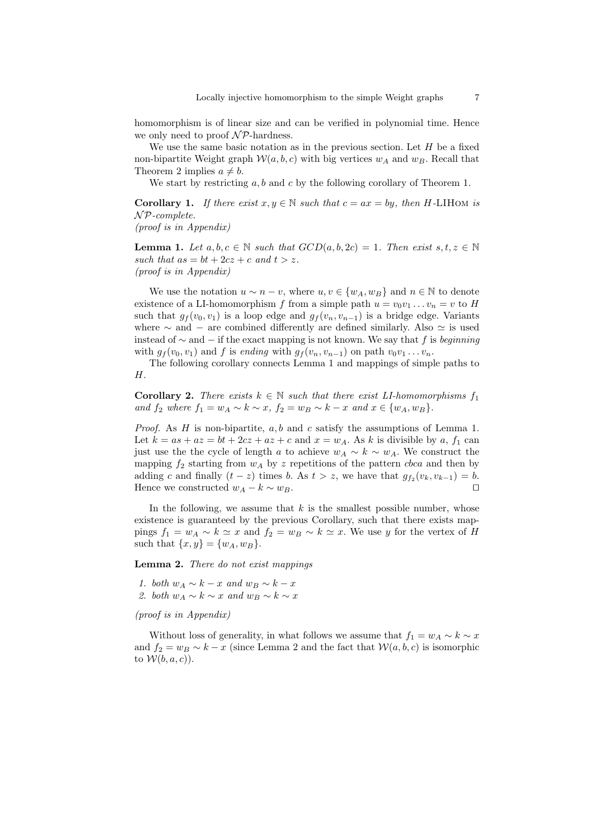homomorphism is of linear size and can be verified in polynomial time. Hence we only need to proof  $\mathcal{NP}$ -hardness.

We use the same basic notation as in the previous section. Let  $H$  be a fixed non-bipartite Weight graph  $W(a, b, c)$  with big vertices  $w<sub>A</sub>$  and  $w<sub>B</sub>$ . Recall that Theorem 2 implies  $a \neq b$ .

We start by restricting  $a, b$  and  $c$  by the following corollary of Theorem 1.

**Corollary 1.** If there exist  $x, y \in \mathbb{N}$  such that  $c = ax = by$ , then H-LIHOM is  $\mathcal{NP}$ -complete.

(proof is in Appendix)

**Lemma 1.** Let  $a, b, c \in \mathbb{N}$  such that  $GCD(a, b, 2c) = 1$ . Then exist  $s, t, z \in \mathbb{N}$ such that  $as = bt + 2cz + c$  and  $t > z$ . (proof is in Appendix)

We use the notation  $u \sim n - v$ , where  $u, v \in \{w_A, w_B\}$  and  $n \in \mathbb{N}$  to denote existence of a LI-homomorphism f from a simple path  $u = v_0v_1 \dots v_n = v$  to H such that  $g_f(v_0, v_1)$  is a loop edge and  $g_f(v_n, v_{n-1})$  is a bridge edge. Variants where  $\sim$  and – are combined differently are defined similarly. Also  $\simeq$  is used instead of  $\sim$  and  $-$  if the exact mapping is not known. We say that f is beginning with  $g_f(v_0, v_1)$  and f is ending with  $g_f(v_n, v_{n-1})$  on path  $v_0v_1 \ldots v_n$ .

The following corollary connects Lemma 1 and mappings of simple paths to H.

**Corollary 2.** There exists  $k \in \mathbb{N}$  such that there exist LI-homomorphisms  $f_1$ and  $f_2$  where  $f_1 = w_A \sim k \sim x$ ,  $f_2 = w_B \sim k - x$  and  $x \in \{w_A, w_B\}$ .

*Proof.* As H is non-bipartite,  $a, b$  and c satisfy the assumptions of Lemma 1. Let  $k = as + az = bt + 2cz + az + c$  and  $x = w<sub>A</sub>$ . As k is divisible by a,  $f<sub>1</sub>$  can just use the the cycle of length a to achieve  $w_A \sim k \sim w_A$ . We construct the mapping  $f_2$  starting from  $w_A$  by z repetitions of the pattern *cbca* and then by adding c and finally  $(t-z)$  times b. As  $t > z$ , we have that  $g_{f_2}(v_k, v_{k-1}) = b$ . Hence we constructed  $w_A - k \sim w_B$ .

In the following, we assume that  $k$  is the smallest possible number, whose existence is guaranteed by the previous Corollary, such that there exists mappings  $f_1 = w_A \sim k \simeq x$  and  $f_2 = w_B \sim k \simeq x$ . We use y for the vertex of H such that  $\{x, y\} = \{w_A, w_B\}.$ 

Lemma 2. There do not exist mappings

1. both  $w_A \sim k - x$  and  $w_B \sim k - x$ 2. both  $w_A \sim k \sim x$  and  $w_B \sim k \sim x$ 

(proof is in Appendix)

Without loss of generality, in what follows we assume that  $f_1 = w_A \sim k \sim x$ and  $f_2 = w_B \sim k - x$  (since Lemma 2 and the fact that  $\mathcal{W}(a, b, c)$  is isomorphic to  $W(b, a, c)$ .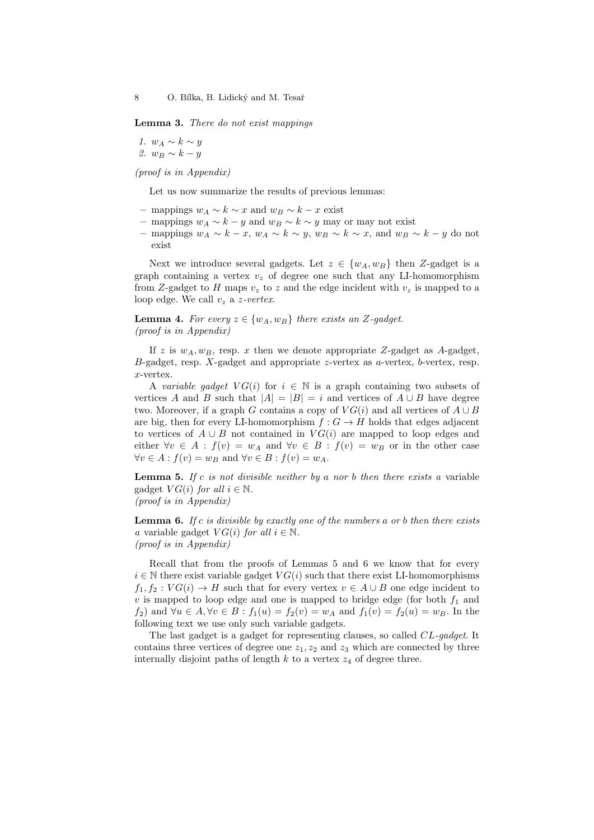Lemma 3. There do not exist mappings

1.  $w_A \sim k \sim y$ 2.  $w_B \sim k - y$ 

(proof is in Appendix)

Let us now summarize the results of previous lemmas:

- mappings  $w_A \sim k \sim x$  and  $w_B \sim k x$  exist
- − mappings  $w_A \sim k y$  and  $w_B \sim k \sim y$  may or may not exist
- mappings  $w_A \sim k x$ ,  $w_A \sim k \sim y$ ,  $w_B \sim k \sim x$ , and  $w_B \sim k y$  do not exist

Next we introduce several gadgets. Let  $z \in \{w_A, w_B\}$  then Z-gadget is a graph containing a vertex  $v<sub>z</sub>$  of degree one such that any LI-homomorphism from Z-gadget to H maps  $v_z$  to z and the edge incident with  $v_z$  is mapped to a loop edge. We call  $v_z$  a z-vertex.

**Lemma 4.** For every  $z \in \{w_A, w_B\}$  there exists an Z-gadget. (proof is in Appendix)

If z is  $w_A, w_B$ , resp. x then we denote appropriate Z-gadget as A-gadget,  $B$ -gadget, resp.  $X$ -gadget and appropriate z-vertex as a-vertex, b-vertex, resp. x-vertex.

A variable gadget  $VG(i)$  for  $i \in \mathbb{N}$  is a graph containing two subsets of vertices A and B such that  $|A| = |B| = i$  and vertices of  $A \cup B$  have degree two. Moreover, if a graph G contains a copy of  $VG(i)$  and all vertices of  $A \cup B$ are big, then for every LI-homomorphism  $f : G \to H$  holds that edges adjacent to vertices of  $A \cup B$  not contained in  $VG(i)$  are mapped to loop edges and either  $\forall v \in A : f(v) = w_A$  and  $\forall v \in B : f(v) = w_B$  or in the other case  $\forall v \in A : f(v) = w_B \text{ and } \forall v \in B : f(v) = w_A.$ 

**Lemma 5.** If c is not divisible neither by a nor b then there exists a variable gadget  $VG(i)$  for all  $i \in \mathbb{N}$ .

(proof is in Appendix)

**Lemma 6.** If c is divisible by exactly one of the numbers a or b then there exists a variable gadget  $VG(i)$  for all  $i \in \mathbb{N}$ . (proof is in Appendix)

Recall that from the proofs of Lemmas 5 and 6 we know that for every  $i \in \mathbb{N}$  there exist variable gadget  $VG(i)$  such that there exist LI-homomorphisms  $f_1, f_2 : VG(i) \to H$  such that for every vertex  $v \in A \cup B$  one edge incident to  $v$  is mapped to loop edge and one is mapped to bridge edge (for both  $f_1$  and f<sub>2</sub>) and  $\forall u \in A, \forall v \in B : f_1(u) = f_2(v) = w_A$  and  $f_1(v) = f_2(u) = w_B$ . In the following text we use only such variable gadgets.

The last gadget is a gadget for representing clauses, so called CL-gadget. It contains three vertices of degree one  $z_1, z_2$  and  $z_3$  which are connected by three internally disjoint paths of length  $k$  to a vertex  $z_4$  of degree three.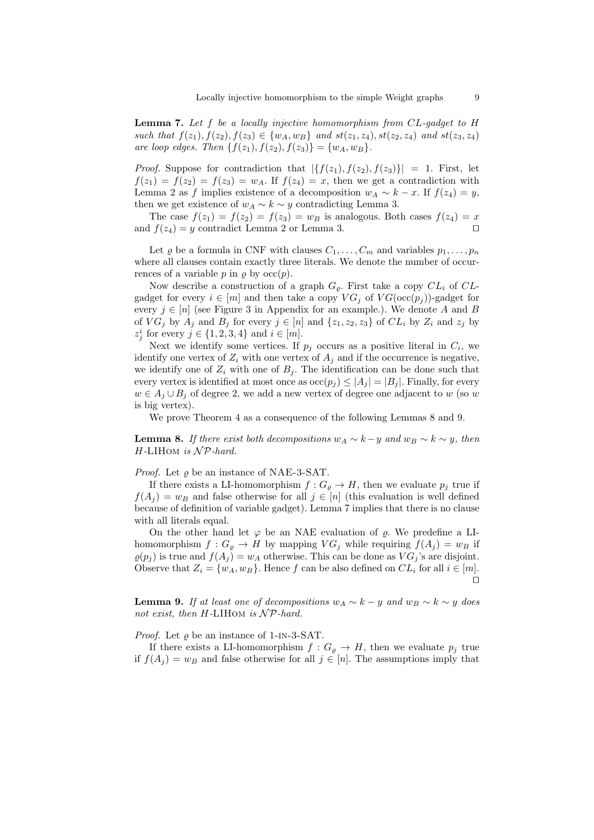**Lemma 7.** Let  $f$  be a locally injective homomorphism from  $CL$ -gadget to  $H$ such that  $f(z_1), f(z_2), f(z_3) \in \{w_A, w_B\}$  and  $st(z_1, z_4), st(z_2, z_4)$  and  $st(z_3, z_4)$ are loop edges. Then  $\{f(z_1), f(z_2), f(z_3)\} = \{w_A, w_B\}.$ 

*Proof.* Suppose for contradiction that  $|\{f(z_1), f(z_2), f(z_3)\}| = 1$ . First, let  $f(z_1) = f(z_2) = f(z_3) = w_A$ . If  $f(z_4) = x$ , then we get a contradiction with Lemma 2 as f implies existence of a decomposition  $w_A \sim k - x$ . If  $f(z_4) = y$ , then we get existence of  $w_A \sim k \sim y$  contradicting Lemma 3.

The case  $f(z_1) = f(z_2) = f(z_3) = w_B$  is analogous. Both cases  $f(z_4) = x$ and  $f(z_4) = y$  contradict Lemma 2 or Lemma 3.

Let  $\varrho$  be a formula in CNF with clauses  $C_1, \ldots, C_m$  and variables  $p_1, \ldots, p_n$ where all clauses contain exactly three literals. We denote the number of occurrences of a variable p in  $\rho$  by  $\operatorname{occ}(p)$ .

Now describe a construction of a graph  $G_{\varrho}$ . First take a copy  $CL_i$  of  $CL$ gadget for every  $i \in [m]$  and then take a copy  $VG_j$  of  $VG(\operatorname{occ}(p_j))$ -gadget for every  $j \in [n]$  (see Figure 3 in Appendix for an example.). We denote A and B of  $VG_j$  by  $A_j$  and  $B_j$  for every  $j \in [n]$  and  $\{z_1, z_2, z_3\}$  of  $CL_i$  by  $Z_i$  and  $z_j$  by  $z_j^i$  for every  $j \in \{1, 2, 3, 4\}$  and  $i \in [m]$ .

Next we identify some vertices. If  $p_j$  occurs as a positive literal in  $C_i$ , we identify one vertex of  $Z_i$  with one vertex of  $A_i$  and if the occurrence is negative, we identify one of  $Z_i$  with one of  $B_j$ . The identification can be done such that every vertex is identified at most once as  $\operatorname{occ}(p_i) \leq |A_i| = |B_i|$ . Finally, for every  $w \in A_i \cup B_i$  of degree 2, we add a new vertex of degree one adjacent to w (so w is big vertex).

We prove Theorem 4 as a consequence of the following Lemmas 8 and 9.

**Lemma 8.** If there exist both decompositions  $w_A \sim k - y$  and  $w_B \sim k \sim y$ , then  $H$ -LIHOM is  $N$ P-hard.

*Proof.* Let  $\rho$  be an instance of NAE-3-SAT.

If there exists a LI-homomorphism  $f: G_{\varrho} \to H$ , then we evaluate  $p_j$  true if  $f(A_j) = w_B$  and false otherwise for all  $j \in [n]$  (this evaluation is well defined because of definition of variable gadget). Lemma 7 implies that there is no clause with all literals equal.

On the other hand let  $\varphi$  be an NAE evaluation of  $\varrho$ . We predefine a LIhomomorphism  $f: G_{\varrho} \to H$  by mapping  $VG_j$  while requiring  $f(A_j) = w_B$  if  $\varrho(p_i)$  is true and  $f(A_i) = w_A$  otherwise. This can be done as  $VG_i$ 's are disjoint. Observe that  $Z_i = \{w_A, w_B\}$ . Hence f can be also defined on  $CL_i$  for all  $i \in [m]$ .  $\Box$ 

**Lemma 9.** If at least one of decompositions  $w_A \sim k - y$  and  $w_B \sim k \sim y$  does not exist, then  $H$ -LIHOM is  $\mathcal{NP}$ -hard.

*Proof.* Let  $\rho$  be an instance of 1-IN-3-SAT.

If there exists a LI-homomorphism  $f: G_{\varrho} \to H$ , then we evaluate  $p_j$  true if  $f(A_j) = w_B$  and false otherwise for all  $j \in [n]$ . The assumptions imply that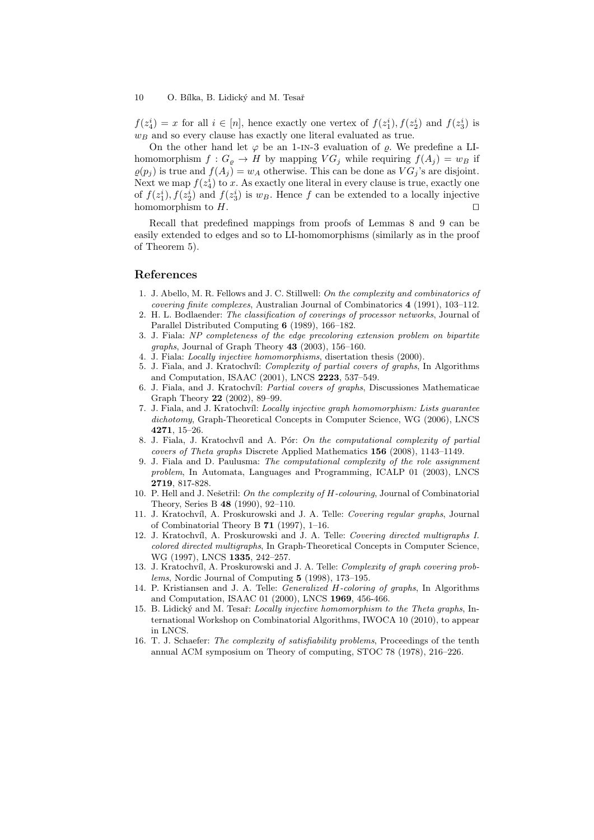$f(z_4^i) = x$  for all  $i \in [n]$ , hence exactly one vertex of  $f(z_1^i)$ ,  $f(z_2^i)$  and  $f(z_3^i)$  is  $w_B$  and so every clause has exactly one literal evaluated as true.

On the other hand let  $\varphi$  be an 1-IN-3 evaluation of  $\varrho$ . We predefine a LIhomomorphism  $f: G_{\varrho} \to H$  by mapping  $VG_j$  while requiring  $f(A_j) = w_B$  if  $\varrho(p_i)$  is true and  $f(A_i) = w_A$  otherwise. This can be done as  $VG_i$ 's are disjoint. Next we map  $f(z_4^i)$  to x. As exactly one literal in every clause is true, exactly one of  $f(z_1^i)$ ,  $f(z_2^i)$  and  $f(z_3^i)$  is  $w_B$ . Hence f can be extended to a locally injective homomorphism to  $H$ .

Recall that predefined mappings from proofs of Lemmas 8 and 9 can be easily extended to edges and so to LI-homomorphisms (similarly as in the proof of Theorem 5).

### References

- 1. J. Abello, M. R. Fellows and J. C. Stillwell: On the complexity and combinatorics of covering finite complexes, Australian Journal of Combinatorics 4 (1991), 103–112.
- 2. H. L. Bodlaender: The classification of coverings of processor networks, Journal of Parallel Distributed Computing 6 (1989), 166–182.
- 3. J. Fiala: NP completeness of the edge precoloring extension problem on bipartite graphs, Journal of Graph Theory 43 (2003), 156–160.
- 4. J. Fiala: Locally injective homomorphisms, disertation thesis (2000).
- 5. J. Fiala, and J. Kratochvíl: *Complexity of partial covers of graphs*, In Algorithms and Computation, ISAAC (2001), LNCS 2223, 537–549.
- 6. J. Fiala, and J. Kratochvíl: Partial covers of graphs, Discussiones Mathematicae Graph Theory 22 (2002), 89–99.
- 7. J. Fiala, and J. Kratochvíl: Locally injective graph homomorphism: Lists guarantee dichotomy, Graph-Theoretical Concepts in Computer Science, WG (2006), LNCS 4271, 15–26.
- 8. J. Fiala, J. Kratochvíl and A. Pór: On the computational complexity of partial covers of Theta graphs Discrete Applied Mathematics 156 (2008), 1143–1149.
- 9. J. Fiala and D. Paulusma: The computational complexity of the role assignment problem, In Automata, Languages and Programming, ICALP 01 (2003), LNCS 2719, 817-828.
- 10. P. Hell and J. Nešetřil: On the complexity of  $H$ -colouring, Journal of Combinatorial Theory, Series B 48 (1990), 92–110.
- 11. J. Kratochv´ıl, A. Proskurowski and J. A. Telle: Covering regular graphs, Journal of Combinatorial Theory B  $71$  (1997), 1-16.
- 12. J. Kratochv´ıl, A. Proskurowski and J. A. Telle: Covering directed multigraphs I. colored directed multigraphs, In Graph-Theoretical Concepts in Computer Science, WG (1997), LNCS 1335, 242–257.
- 13. J. Kratochvíl, A. Proskurowski and J. A. Telle: Complexity of graph covering problems, Nordic Journal of Computing 5 (1998), 173–195.
- 14. P. Kristiansen and J. A. Telle: Generalized H-coloring of graphs, In Algorithms and Computation, ISAAC 01 (2000), LNCS 1969, 456-466.
- 15. B. Lidický and M. Tesař: Locally injective homomorphism to the Theta graphs, International Workshop on Combinatorial Algorithms, IWOCA 10 (2010), to appear in LNCS.
- 16. T. J. Schaefer: The complexity of satisfiability problems, Proceedings of the tenth annual ACM symposium on Theory of computing, STOC 78 (1978), 216–226.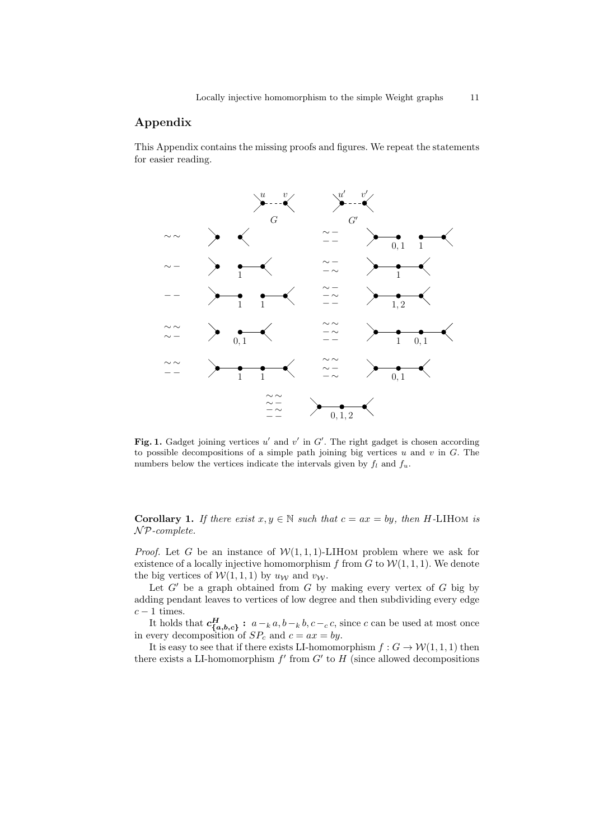## Appendix

This Appendix contains the missing proofs and figures. We repeat the statements for easier reading.



Fig. 1. Gadget joining vertices  $u'$  and  $v'$  in  $G'$ . The right gadget is chosen according to possible decompositions of a simple path joining big vertices  $u$  and  $v$  in  $G$ . The numbers below the vertices indicate the intervals given by  $f_l$  and  $f_u$ .

Corollary 1. If there exist  $x, y \in \mathbb{N}$  such that  $c = ax = by$ , then H-LIHOM is  $\mathcal{NP}$ -complete.

*Proof.* Let G be an instance of  $W(1,1,1)$ -LIHOM problem where we ask for existence of a locally injective homomorphism f from  $G$  to  $W(1,1,1)$ . We denote the big vertices of  $W(1,1,1)$  by  $u_W$  and  $v_W$ .

Let  $G'$  be a graph obtained from  $G$  by making every vertex of  $G$  big by adding pendant leaves to vertices of low degree and then subdividing every edge  $c - 1$  times.

It holds that  $c_{\{a,b,c\}}^H$ :  $a_{-k}a, b_{-k}b, c_{-c}c$ , since c can be used at most once in every decomposition of  $SP_c$  and  $c = ax = by$ .

It is easy to see that if there exists LI-homomorphism  $f : G \to \mathcal{W}(1,1,1)$  then there exists a LI-homomorphism  $f'$  from  $G'$  to  $H$  (since allowed decompositions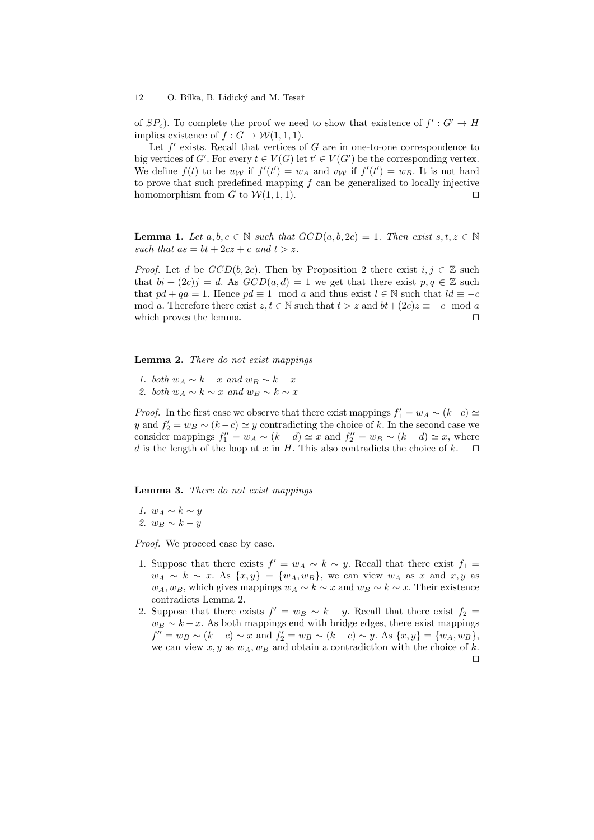### 12 O. Bílka, B. Lidický and M. Tesař

of  $SP_c$ ). To complete the proof we need to show that existence of  $f' : G' \to H$ implies existence of  $f: G \to \mathcal{W}(1,1,1)$ .

Let  $f'$  exists. Recall that vertices of  $G$  are in one-to-one correspondence to big vertices of  $G'$ . For every  $t \in V(G)$  let  $t' \in V(G')$  be the corresponding vertex. We define  $f(t)$  to be  $u_W$  if  $f'(t') = w_A$  and  $v_W$  if  $f'(t') = w_B$ . It is not hard to prove that such predefined mapping  $f$  can be generalized to locally injective homomorphism from G to  $W(1,1,1)$ .

**Lemma 1.** Let  $a, b, c \in \mathbb{N}$  such that  $GCD(a, b, 2c) = 1$ . Then exist  $s, t, z \in \mathbb{N}$ such that  $as = bt + 2cz + c$  and  $t > z$ .

*Proof.* Let d be  $GCD(b, 2c)$ . Then by Proposition 2 there exist  $i, j \in \mathbb{Z}$  such that  $bi + (2c)j = d$ . As  $GCD(a, d) = 1$  we get that there exist  $p, q \in \mathbb{Z}$  such that  $pd + qa = 1$ . Hence  $pd \equiv 1 \mod a$  and thus exist  $l \in \mathbb{N}$  such that  $ld \equiv -c$ mod a. Therefore there exist  $z, t \in \mathbb{N}$  such that  $t > z$  and  $bt + (2c)z \equiv -c \mod a$ <br>which proves the lemma which proves the lemma.

Lemma 2. There do not exist mappings

- 1. both  $w_A \sim k x$  and  $w_B \sim k x$
- 2. both  $w_A \sim k \sim x$  and  $w_B \sim k \sim x$

*Proof.* In the first case we observe that there exist mappings  $f'_1 = w_A \sim (k-c) \simeq$ y and  $f_2' = w_B \sim (k-c) \simeq y$  contradicting the choice of k. In the second case we consider mappings  $f_1'' = w_A \sim (k - d) \simeq x$  and  $f_2'' = w_B \sim (k - d) \simeq x$ , where d is the length of the loop at x in H. This also contradicts the choice of k.  $\square$ 

Lemma 3. There do not exist mappings

1.  $w_A \sim k \sim y$ 2.  $w_B \sim k - y$ 

Proof. We proceed case by case.

- 1. Suppose that there exists  $f' = w_A \sim k \sim y$ . Recall that there exist  $f_1 =$  $w_A \sim k \sim x$ . As  $\{x, y\} = \{w_A, w_B\}$ , we can view  $w_A$  as x and  $x, y$  as  $w_A, w_B$ , which gives mappings  $w_A \sim k \sim x$  and  $w_B \sim k \sim x$ . Their existence contradicts Lemma 2.
- 2. Suppose that there exists  $f' = w_B \sim k y$ . Recall that there exist  $f_2 =$  $w_B \sim k - x$ . As both mappings end with bridge edges, there exist mappings  $f'' = w_B \sim (k - c) \sim x$  and  $f'_2 = w_B \sim (k - c) \sim y$ . As  $\{x, y\} = \{w_A, w_B\},$ we can view  $x, y$  as  $w_A, w_B$  and obtain a contradiction with the choice of k.  $\Box$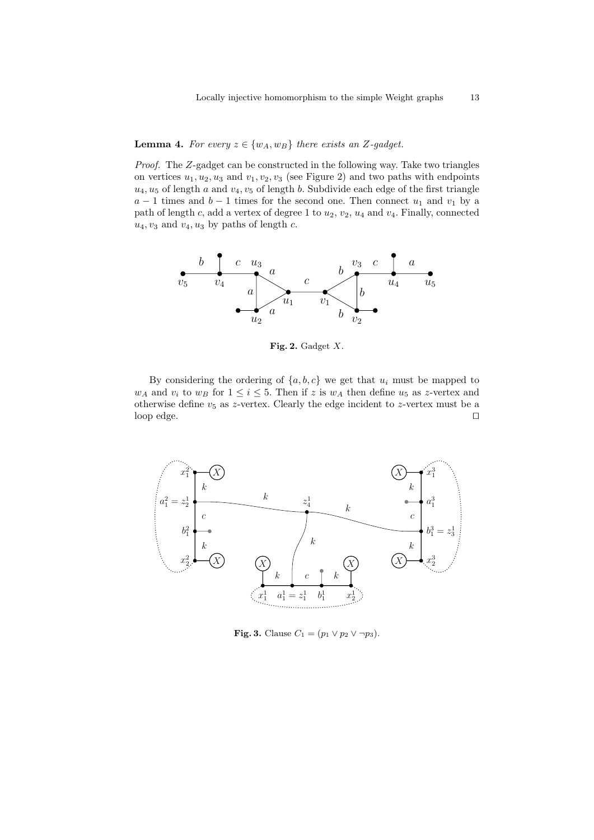### **Lemma 4.** For every  $z \in \{w_A, w_B\}$  there exists an Z-gadget.

Proof. The Z-gadget can be constructed in the following way. Take two triangles on vertices  $u_1, u_2, u_3$  and  $v_1, v_2, v_3$  (see Figure 2) and two paths with endpoints  $u_4, u_5$  of length a and  $v_4, v_5$  of length b. Subdivide each edge of the first triangle  $a - 1$  times and  $b - 1$  times for the second one. Then connect  $u_1$  and  $v_1$  by a path of length c, add a vertex of degree 1 to  $u_2$ ,  $v_2$ ,  $u_4$  and  $v_4$ . Finally, connected  $u_4, v_3$  and  $v_4, u_3$  by paths of length c.



Fig. 2. Gadget  $X$ .

By considering the ordering of  $\{a, b, c\}$  we get that  $u_i$  must be mapped to  $w_A$  and  $v_i$  to  $w_B$  for  $1 \leq i \leq 5$ . Then if z is  $w_A$  then define  $u_5$  as z-vertex and otherwise define  $v_5$  as z-vertex. Clearly the edge incident to z-vertex must be a loop edge.  $\Box$ 



**Fig. 3.** Clause  $C_1 = (p_1 \lor p_2 \lor \neg p_3).$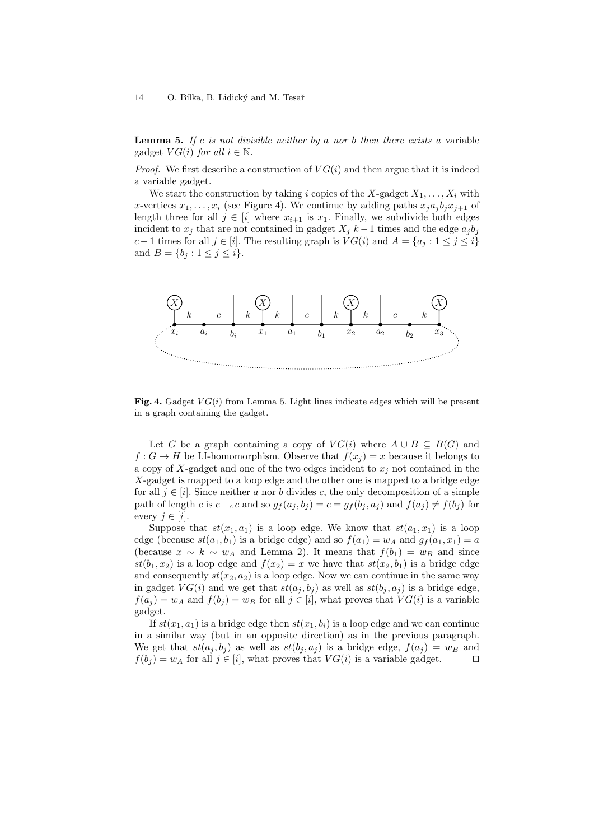**Lemma 5.** If c is not divisible neither by a nor b then there exists a variable gadget  $VG(i)$  for all  $i \in \mathbb{N}$ .

*Proof.* We first describe a construction of  $VG(i)$  and then argue that it is indeed a variable gadget.

We start the construction by taking i copies of the X-gadget  $X_1, \ldots, X_i$  with x-vertices  $x_1, \ldots, x_i$  (see Figure 4). We continue by adding paths  $x_j a_j b_j x_{j+1}$  of length three for all  $j \in [i]$  where  $x_{i+1}$  is  $x_1$ . Finally, we subdivide both edges incident to  $x_j$  that are not contained in gadget  $X_j$  k – 1 times and the edge  $a_j b_j$ c − 1 times for all  $j \in [i]$ . The resulting graph is  $VG(i)$  and  $A = \{a_j : 1 \leq j \leq i\}$ and  $B = \{b_j : 1 \le j \le i\}.$ 



Fig. 4. Gadget  $VG(i)$  from Lemma 5. Light lines indicate edges which will be present in a graph containing the gadget.

Let G be a graph containing a copy of  $VG(i)$  where  $A \cup B \subseteq B(G)$  and  $f: G \to H$  be LI-homomorphism. Observe that  $f(x_i) = x$  because it belongs to a copy of X-gadget and one of the two edges incident to  $x_i$  not contained in the X-gadget is mapped to a loop edge and the other one is mapped to a bridge edge for all  $j \in [i]$ . Since neither a nor b divides c, the only decomposition of a simple path of length c is  $c - c c$  and so  $g_f(a_j, b_j) = c = g_f(b_j, a_j)$  and  $f(a_j) \neq f(b_j)$  for every  $j \in [i]$ .

Suppose that  $st(x_1, a_1)$  is a loop edge. We know that  $st(a_1, x_1)$  is a loop edge (because  $st(a_1, b_1)$  is a bridge edge) and so  $f(a_1) = w_A$  and  $g_f(a_1, x_1) = a$ (because  $x \sim k \sim w_A$  and Lemma 2). It means that  $f(b_1) = w_B$  and since  $st(b_1, x_2)$  is a loop edge and  $f(x_2) = x$  we have that  $st(x_2, b_1)$  is a bridge edge and consequently  $st(x_2, a_2)$  is a loop edge. Now we can continue in the same way in gadget  $VG(i)$  and we get that  $st(a_j, b_j)$  as well as  $st(b_j, a_j)$  is a bridge edge,  $f(a_j) = w_A$  and  $f(b_j) = w_B$  for all  $j \in [i]$ , what proves that  $VG(i)$  is a variable gadget.

If  $st(x_1, a_1)$  is a bridge edge then  $st(x_1, b_i)$  is a loop edge and we can continue in a similar way (but in an opposite direction) as in the previous paragraph. We get that  $st(a_j, b_j)$  as well as  $st(b_j, a_j)$  is a bridge edge,  $f(a_j) = w_B$  and  $f(b_j) = w_A$  for all  $j \in [i]$ , what proves that  $VG(i)$  is a variable gadget.  $\square$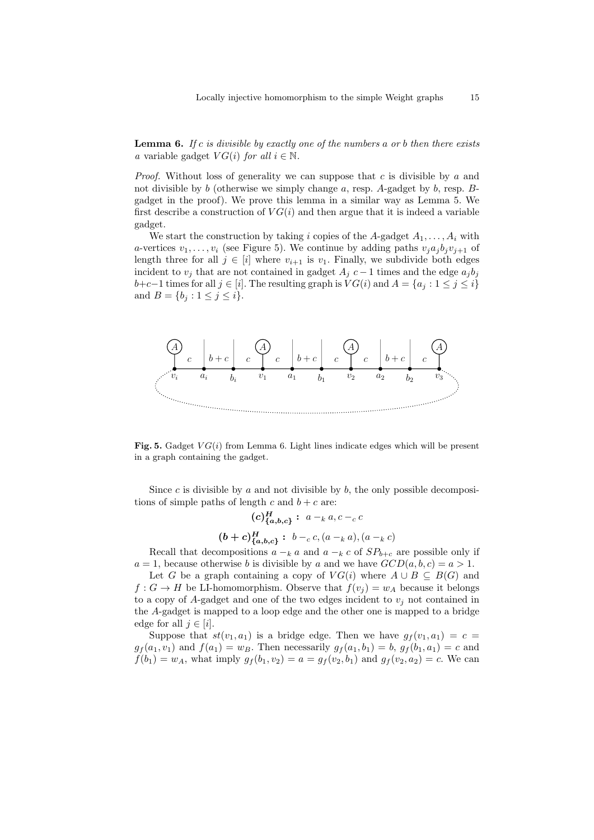**Lemma 6.** If c is divisible by exactly one of the numbers a or b then there exists a variable gadget  $VG(i)$  for all  $i \in \mathbb{N}$ .

*Proof.* Without loss of generality we can suppose that c is divisible by a and not divisible by b (otherwise we simply change  $a$ , resp. A-gadget by b, resp. Bgadget in the proof). We prove this lemma in a similar way as Lemma 5. We first describe a construction of  $VG(i)$  and then argue that it is indeed a variable gadget.

We start the construction by taking i copies of the A-gadget  $A_1, \ldots, A_i$  with a-vertices  $v_1, \ldots, v_i$  (see Figure 5). We continue by adding paths  $v_i a_i b_i v_{i+1}$  of length three for all  $j \in [i]$  where  $v_{i+1}$  is  $v_1$ . Finally, we subdivide both edges incident to  $v_j$  that are not contained in gadget  $A_j$  c − 1 times and the edge  $a_j b_j$  $b+c-1$  times for all  $j \in [i]$ . The resulting graph is  $VG(i)$  and  $A = \{a_j : 1 \leq j \leq i\}$ and  $B = \{b_j : 1 \le j \le i\}.$ 



Fig. 5. Gadget  $VG(i)$  from Lemma 6. Light lines indicate edges which will be present in a graph containing the gadget.

Since c is divisible by a and not divisible by b, the only possible decompositions of simple paths of length c and  $b + c$  are:

(c)<sup>H</sup> {a,b,c} : a −<sup>k</sup> a, c −<sup>c</sup> c (b + c)<sup>H</sup> {a,b,c} : b −<sup>c</sup> c,(a −<sup>k</sup> a),(a −<sup>k</sup> c)

Recall that decompositions  $a - k a$  and  $a - k c$  of  $SP_{b+c}$  are possible only if  $a = 1$ , because otherwise b is divisible by a and we have  $GCD(a, b, c) = a > 1$ .

Let G be a graph containing a copy of  $VG(i)$  where  $A \cup B \subseteq B(G)$  and  $f: G \to H$  be LI-homomorphism. Observe that  $f(v_i) = w_A$  because it belongs to a copy of A-gadget and one of the two edges incident to  $v_j$  not contained in the A-gadget is mapped to a loop edge and the other one is mapped to a bridge edge for all  $j \in [i]$ .

Suppose that  $st(v_1, a_1)$  is a bridge edge. Then we have  $g_f(v_1, a_1) = c$  $g_f(a_1, v_1)$  and  $f(a_1) = w_B$ . Then necessarily  $g_f(a_1, b_1) = b$ ,  $g_f(b_1, a_1) = c$  and  $f(b_1) = w_A$ , what imply  $g_f(b_1, v_2) = a = g_f(v_2, b_1)$  and  $g_f(v_2, a_2) = c$ . We can